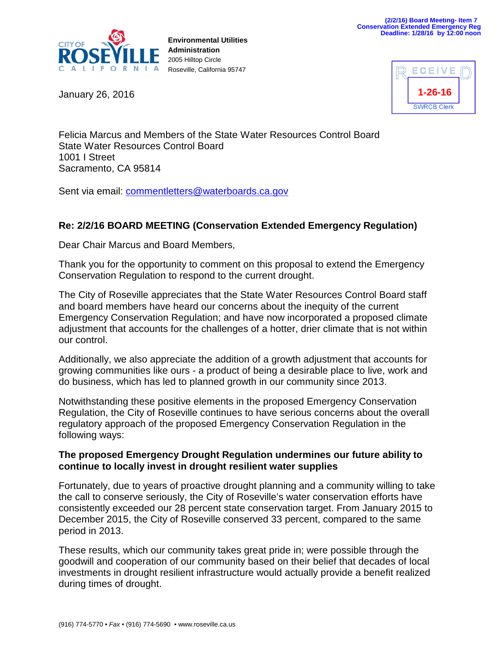

**Environmental Utilities Administration** 2005 Hilltop Circle Roseville, California 95747

January 26, 2016

| ECEIVE             |  |
|--------------------|--|
| $1 - 26 - 16$      |  |
| <b>SWRCB Clerk</b> |  |

Felicia Marcus and Members of the State Water Resources Control Board State Water Resources Control Board 1001 I Street Sacramento, CA 95814

Sent via email: [commentletters@waterboards.ca.gov](mailto:commentletters@waterboards.ca.gov)

## **Re: 2/2/16 BOARD MEETING (Conservation Extended Emergency Regulation)**

Dear Chair Marcus and Board Members,

Thank you for the opportunity to comment on this proposal to extend the Emergency Conservation Regulation to respond to the current drought.

The City of Roseville appreciates that the State Water Resources Control Board staff and board members have heard our concerns about the inequity of the current Emergency Conservation Regulation; and have now incorporated a proposed climate adjustment that accounts for the challenges of a hotter, drier climate that is not within our control.

Additionally, we also appreciate the addition of a growth adjustment that accounts for growing communities like ours - a product of being a desirable place to live, work and do business, which has led to planned growth in our community since 2013.

Notwithstanding these positive elements in the proposed Emergency Conservation Regulation, the City of Roseville continues to have serious concerns about the overall regulatory approach of the proposed Emergency Conservation Regulation in the following ways:

## **The proposed Emergency Drought Regulation undermines our future ability to continue to locally invest in drought resilient water supplies**

Fortunately, due to years of proactive drought planning and a community willing to take the call to conserve seriously, the City of Roseville's water conservation efforts have consistently exceeded our 28 percent state conservation target. From January 2015 to December 2015, the City of Roseville conserved 33 percent, compared to the same period in 2013.

These results, which our community takes great pride in; were possible through the goodwill and cooperation of our community based on their belief that decades of local investments in drought resilient infrastructure would actually provide a benefit realized during times of drought.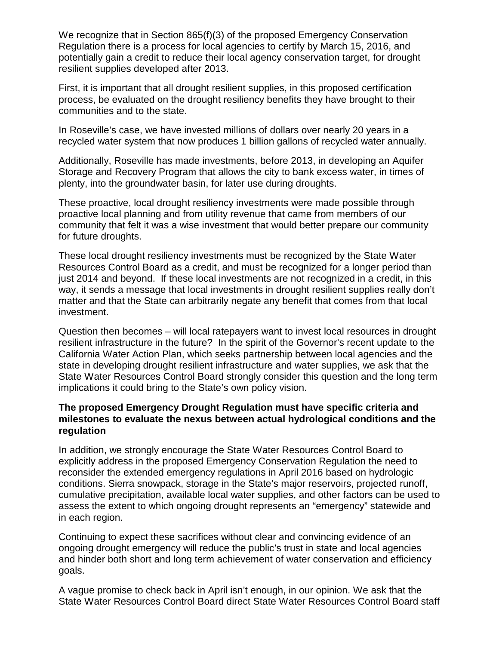We recognize that in Section 865(f)(3) of the proposed Emergency Conservation Regulation there is a process for local agencies to certify by March 15, 2016, and potentially gain a credit to reduce their local agency conservation target, for drought resilient supplies developed after 2013.

First, it is important that all drought resilient supplies, in this proposed certification process, be evaluated on the drought resiliency benefits they have brought to their communities and to the state.

In Roseville's case, we have invested millions of dollars over nearly 20 years in a recycled water system that now produces 1 billion gallons of recycled water annually.

Additionally, Roseville has made investments, before 2013, in developing an Aquifer Storage and Recovery Program that allows the city to bank excess water, in times of plenty, into the groundwater basin, for later use during droughts.

These proactive, local drought resiliency investments were made possible through proactive local planning and from utility revenue that came from members of our community that felt it was a wise investment that would better prepare our community for future droughts.

These local drought resiliency investments must be recognized by the State Water Resources Control Board as a credit, and must be recognized for a longer period than just 2014 and beyond. If these local investments are not recognized in a credit, in this way, it sends a message that local investments in drought resilient supplies really don't matter and that the State can arbitrarily negate any benefit that comes from that local investment.

Question then becomes – will local ratepayers want to invest local resources in drought resilient infrastructure in the future? In the spirit of the Governor's recent update to the California Water Action Plan, which seeks partnership between local agencies and the state in developing drought resilient infrastructure and water supplies, we ask that the State Water Resources Control Board strongly consider this question and the long term implications it could bring to the State's own policy vision.

## **The proposed Emergency Drought Regulation must have specific criteria and milestones to evaluate the nexus between actual hydrological conditions and the regulation**

In addition, we strongly encourage the State Water Resources Control Board to explicitly address in the proposed Emergency Conservation Regulation the need to reconsider the extended emergency regulations in April 2016 based on hydrologic conditions. Sierra snowpack, storage in the State's major reservoirs, projected runoff, cumulative precipitation, available local water supplies, and other factors can be used to assess the extent to which ongoing drought represents an "emergency" statewide and in each region.

Continuing to expect these sacrifices without clear and convincing evidence of an ongoing drought emergency will reduce the public's trust in state and local agencies and hinder both short and long term achievement of water conservation and efficiency goals.

A vague promise to check back in April isn't enough, in our opinion. We ask that the State Water Resources Control Board direct State Water Resources Control Board staff